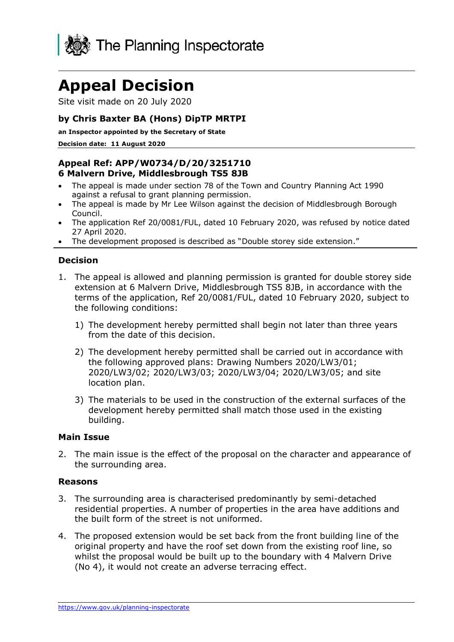

# **Appeal Decision**

Site visit made on 20 July 2020

## **by Chris Baxter BA (Hons) DipTP MRTPI**

**an Inspector appointed by the Secretary of State** 

**Decision date: 11 August 2020**

### **Appeal Ref: APP/W0734/D/20/3251710 6 Malvern Drive, Middlesbrough TS5 8JB**

- The appeal is made under section 78 of the Town and Country Planning Act 1990 against a refusal to grant planning permission.
- The appeal is made by Mr Lee Wilson against the decision of Middlesbrough Borough Council.
- The application Ref 20/0081/FUL, dated 10 February 2020, was refused by notice dated 27 April 2020.
- The development proposed is described as "Double storey side extension."

## **Decision**

- 1. The appeal is allowed and planning permission is granted for double storey side extension at 6 Malvern Drive, Middlesbrough TS5 8JB, in accordance with the terms of the application, Ref 20/0081/FUL, dated 10 February 2020, subject to the following conditions:
	- 1) The development hereby permitted shall begin not later than three years from the date of this decision.
	- 2) The development hereby permitted shall be carried out in accordance with the following approved plans: Drawing Numbers 2020/LW3/01; 2020/LW3/02; 2020/LW3/03; 2020/LW3/04; 2020/LW3/05; and site location plan.
	- 3) The materials to be used in the construction of the external surfaces of the development hereby permitted shall match those used in the existing building.

#### **Main Issue**

2. The main issue is the effect of the proposal on the character and appearance of the surrounding area.

#### **Reasons**

- 3. The surrounding area is characterised predominantly by semi-detached residential properties. A number of properties in the area have additions and the built form of the street is not uniformed.
- 4. The proposed extension would be set back from the front building line of the original property and have the roof set down from the existing roof line, so whilst the proposal would be built up to the boundary with 4 Malvern Drive (No 4), it would not create an adverse terracing effect.